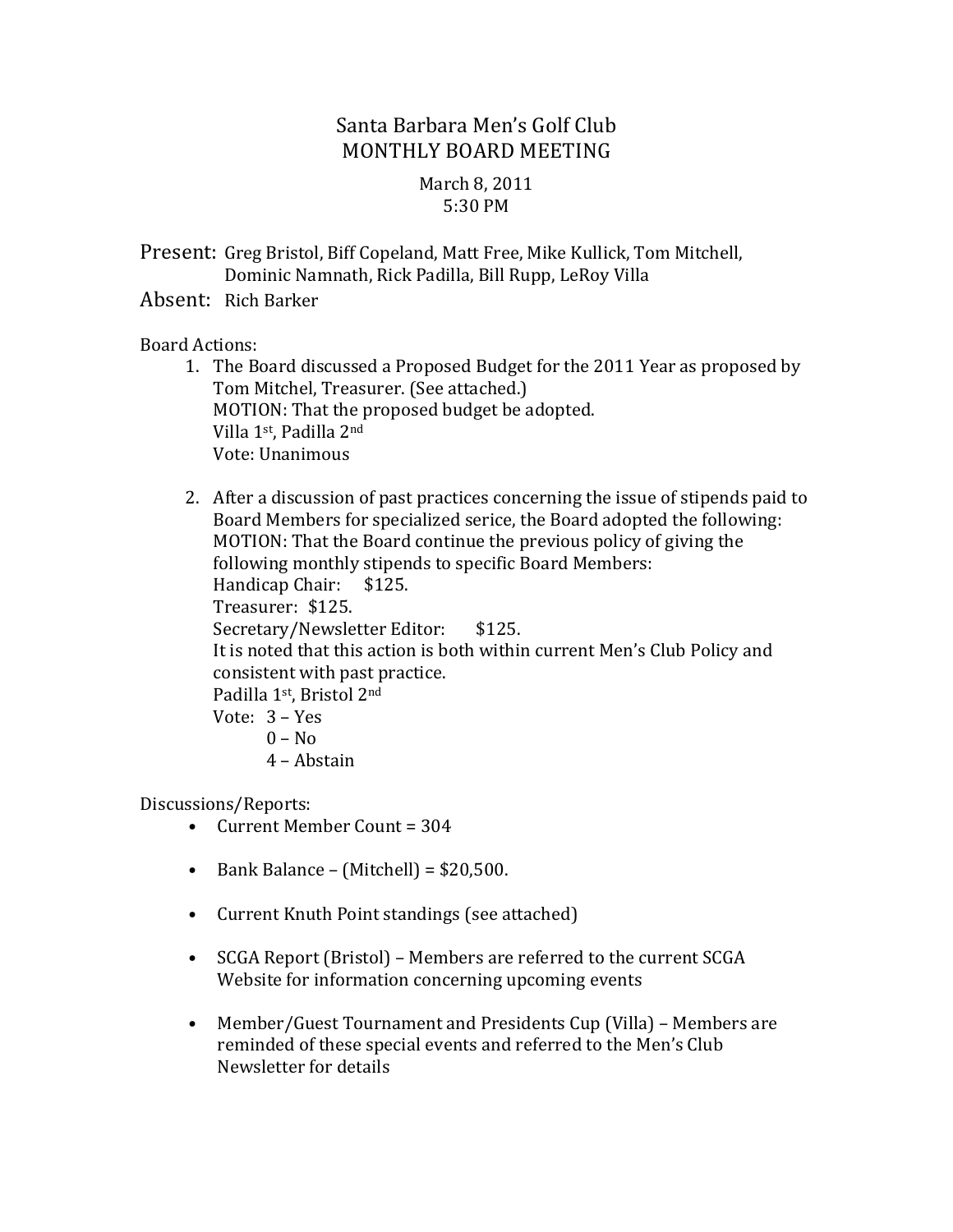# Santa Barbara Men's Golf Club MONTHLY BOARD MEETING

## March 8, 2011 5:30 PM

Present: Greg Bristol, Biff Copeland, Matt Free, Mike Kullick, Tom Mitchell, Dominic Namnath, Rick Padilla, Bill Rupp, LeRoy Villa

Absent: Rich Barker

#### Board Actions:

- 1. The Board discussed a Proposed Budget for the 2011 Year as proposed by Tom Mitchel, Treasurer. (See attached.) MOTION: That the proposed budget be adopted. Villa 1<sup>st</sup>, Padilla 2<sup>nd</sup> Vote: Unanimous
- 2. After a discussion of past practices concerning the issue of stipends paid to Board Members for specialized serice, the Board adopted the following: MOTION: That the Board continue the previous policy of giving the following monthly stipends to specific Board Members: Handicap Chair: \$125. Treasurer: \$125. Secretary/Newsletter Editor: \$125. It is noted that this action is both within current Men's Club Policy and consistent with past practice. Padilla 1st, Bristol 2nd Vote: 3 – Yes  $0 - No$ 4 – Abstain

Discussions/Reports:

- Current Member Count  $= 304$
- Bank Balance (Mitchell) =  $$20,500$ .
- Current Knuth Point standings (see attached)
- SCGA Report (Bristol) Members are referred to the current SCGA Website for information concerning upcoming events
- Member/Guest Tournament and Presidents Cup (Villa) Members are reminded of these special events and referred to the Men's Club Newsletter for details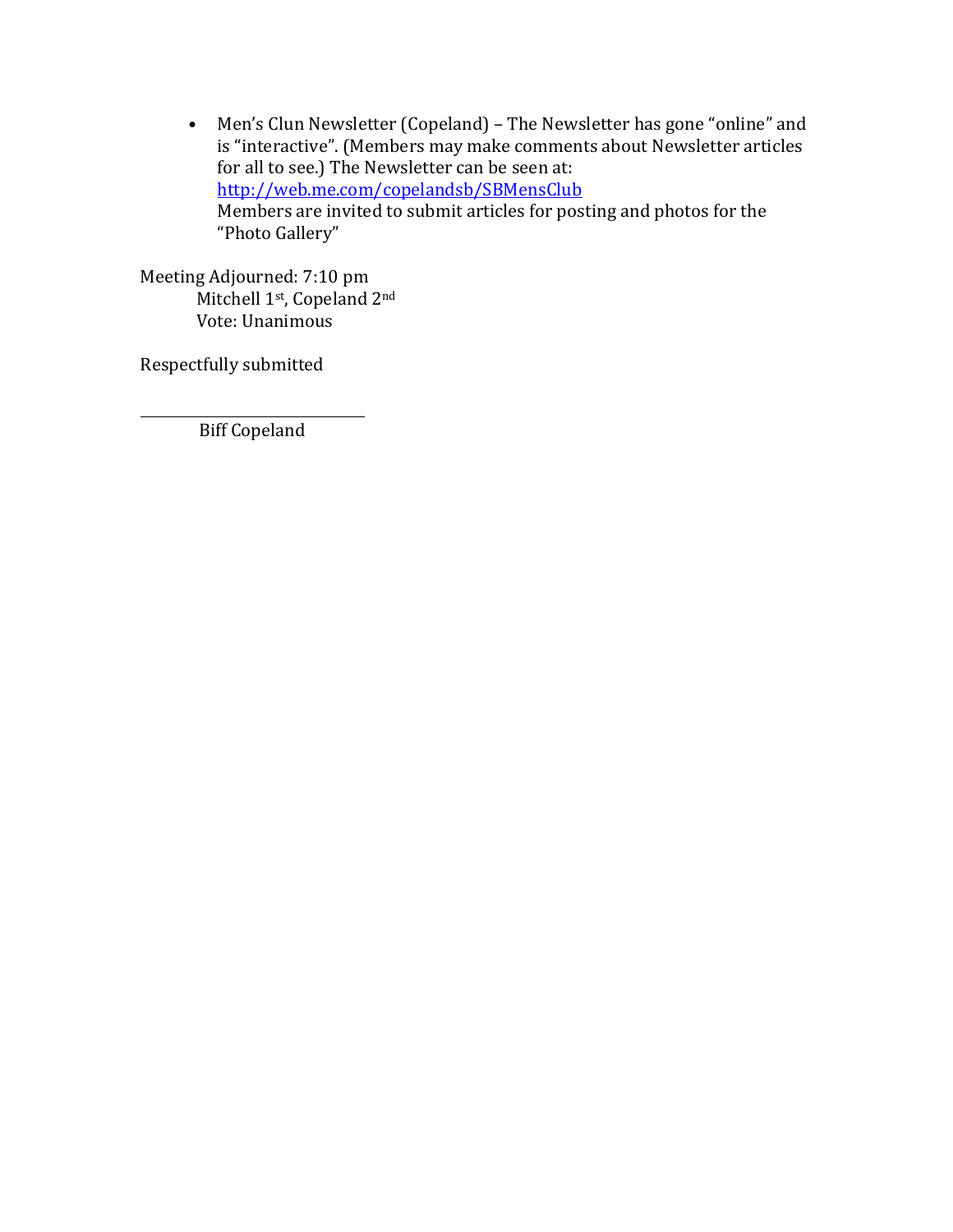• Men's Clun Newsletter (Copeland) - The Newsletter has gone "online" and is "interactive". (Members may make comments about Newsletter articles for all to see.) The Newsletter can be seen at: http://web.me.com/copelandsb/SBMensClub Members are invited to submit articles for posting and photos for the "Photo Gallery"

Meeting Adjourned: 7:10 pm Mitchell 1<sup>st</sup>, Copeland 2<sup>nd</sup> Vote: Unanimous

Respectfully submitted

**Biff Copeland**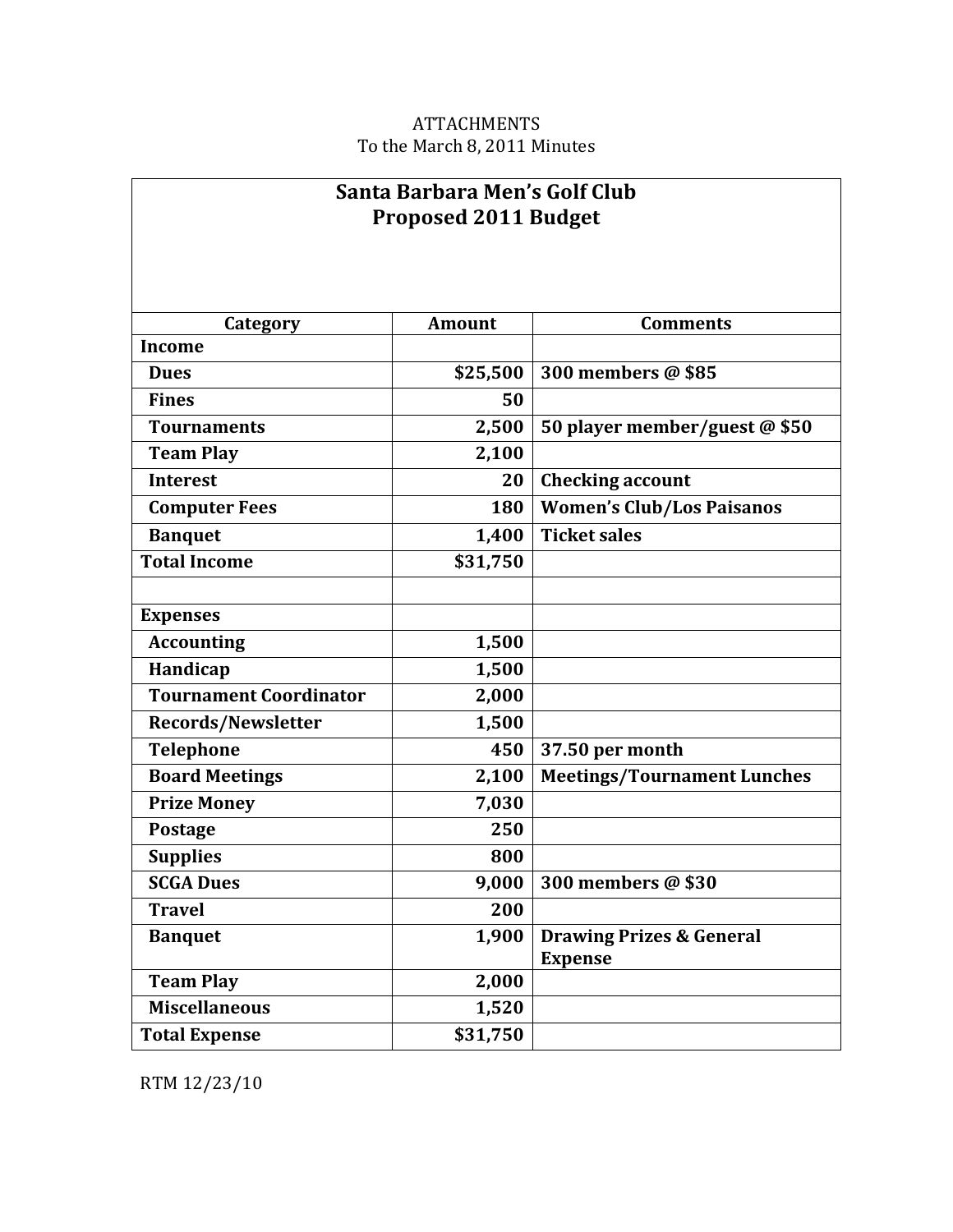## ATTACHMENTS To the March 8, 2011 Minutes

┑

| Santa Barbara Men's Golf Club<br><b>Proposed 2011 Budget</b> |               |                                     |  |  |  |
|--------------------------------------------------------------|---------------|-------------------------------------|--|--|--|
|                                                              |               |                                     |  |  |  |
| Category                                                     | <b>Amount</b> | <b>Comments</b>                     |  |  |  |
| <b>Income</b>                                                |               |                                     |  |  |  |
| <b>Dues</b>                                                  | \$25,500      | 300 members @ \$85                  |  |  |  |
| <b>Fines</b>                                                 | 50            |                                     |  |  |  |
| <b>Tournaments</b>                                           | 2,500         | 50 player member/guest @ \$50       |  |  |  |
| <b>Team Play</b>                                             | 2,100         |                                     |  |  |  |
| <b>Interest</b>                                              | 20            | <b>Checking account</b>             |  |  |  |
| <b>Computer Fees</b>                                         | 180           | <b>Women's Club/Los Paisanos</b>    |  |  |  |
| <b>Banquet</b>                                               | 1,400         | <b>Ticket sales</b>                 |  |  |  |
| <b>Total Income</b>                                          | \$31,750      |                                     |  |  |  |
|                                                              |               |                                     |  |  |  |
| <b>Expenses</b>                                              |               |                                     |  |  |  |
| <b>Accounting</b>                                            | 1,500         |                                     |  |  |  |
| Handicap                                                     | 1,500         |                                     |  |  |  |
| <b>Tournament Coordinator</b>                                | 2,000         |                                     |  |  |  |
| <b>Records/Newsletter</b>                                    | 1,500         |                                     |  |  |  |
| <b>Telephone</b>                                             | 450           | 37.50 per month                     |  |  |  |
| <b>Board Meetings</b>                                        | 2,100         | <b>Meetings/Tournament Lunches</b>  |  |  |  |
| <b>Prize Money</b>                                           | 7,030         |                                     |  |  |  |
| <b>Postage</b>                                               | 250           |                                     |  |  |  |
| <b>Supplies</b>                                              | 800           |                                     |  |  |  |
| <b>SCGA Dues</b>                                             | 9,000         | 300 members @ \$30                  |  |  |  |
| <b>Travel</b>                                                | 200           |                                     |  |  |  |
| <b>Banquet</b>                                               | 1,900         | <b>Drawing Prizes &amp; General</b> |  |  |  |
|                                                              |               | <b>Expense</b>                      |  |  |  |
| <b>Team Play</b>                                             | 2,000         |                                     |  |  |  |
| <b>Miscellaneous</b>                                         | 1,520         |                                     |  |  |  |
| <b>Total Expense</b>                                         | \$31,750      |                                     |  |  |  |

RTM 12/23/10